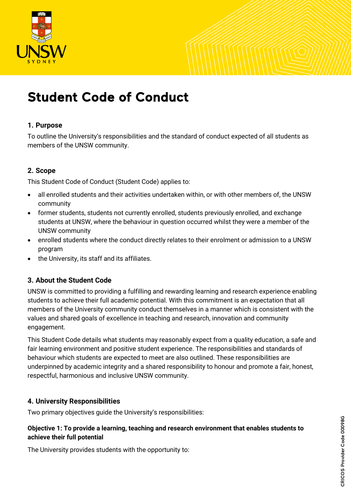

# Student Code of Conduct

## **1. Purpose**

To outline the University's responsibilities and the standard of conduct expected of all students as members of the UNSW community.

# **2. Scope**

This Student Code of Conduct (Student Code) applies to:

- all enrolled students and their activities undertaken within, or with other members of, the UNSW community
- former students, students not currently enrolled, students previously enrolled, and exchange students at UNSW, where the behaviour in question occurred whilst they were a member of the UNSW community
- enrolled students where the conduct directly relates to their enrolment or admission to a UNSW program
- the University, its staff and its affiliates.

# **3. About the Student Code**

UNSW is committed to providing a fulfilling and rewarding learning and research experience enabling students to achieve their full academic potential. With this commitment is an expectation that all members of the University community conduct themselves in a manner which is consistent with the values and shared goals of excellence in teaching and research, innovation and community engagement.

This Student Code details what students may reasonably expect from a quality education, a safe and fair learning environment and positive student experience. The responsibilities and standards of behaviour which students are expected to meet are also outlined. These responsibilities are underpinned by academic integrity and a shared responsibility to honour and promote a fair, honest, respectful, harmonious and inclusive UNSW community.

# **4. University Responsibilities**

Two primary objectives guide the University's responsibilities:

## **Objective 1: To provide a learning, teaching and research environment that enables students to achieve their full potential**

The University provides students with the opportunity to: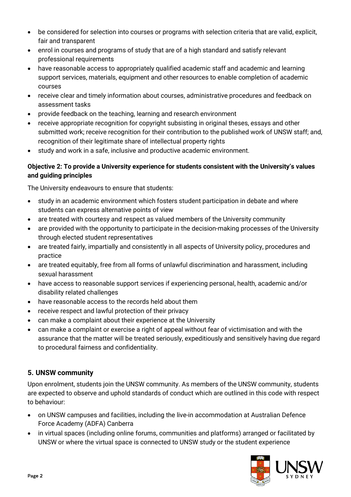- be considered for selection into courses or programs with selection criteria that are valid, explicit, fair and transparent
- enrol in courses and programs of study that are of a high standard and satisfy relevant professional requirements
- have reasonable access to appropriately qualified academic staff and academic and learning support services, materials, equipment and other resources to enable completion of academic courses
- receive clear and timely information about courses, administrative procedures and feedback on assessment tasks
- provide feedback on the teaching, learning and research environment
- receive appropriate recognition for copyright subsisting in original theses, essays and other submitted work; receive recognition for their contribution to the published work of UNSW staff; and, recognition of their legitimate share of intellectual property rights
- study and work in a safe, inclusive and productive academic environment.

# **Objective 2: To provide a University experience for students consistent with the University's values and guiding principles**

The University endeavours to ensure that students:

- study in an academic environment which fosters student participation in debate and where students can express alternative points of view
- are treated with courtesy and respect as valued members of the University community
- are provided with the opportunity to participate in the decision-making processes of the University through elected student representatives
- are treated fairly, impartially and consistently in all aspects of University policy, procedures and practice
- are treated equitably, free from all forms of unlawful discrimination and harassment, including sexual harassment
- have access to reasonable support services if experiencing personal, health, academic and/or disability related challenges
- have reasonable access to the records held about them
- receive respect and lawful protection of their privacy
- can make a complaint about their experience at the University
- can make a complaint or exercise a right of appeal without fear of victimisation and with the assurance that the matter will be treated seriously, expeditiously and sensitively having due regard to procedural fairness and confidentiality.

# **5. UNSW community**

Upon enrolment, students join the UNSW community. As members of the UNSW community, students are expected to observe and uphold standards of conduct which are outlined in this code with respect to behaviour:

- on UNSW campuses and facilities, including the live-in accommodation at Australian Defence Force Academy (ADFA) Canberra
- in virtual spaces (including online forums, communities and platforms) arranged or facilitated by UNSW or where the virtual space is connected to UNSW study or the student experience

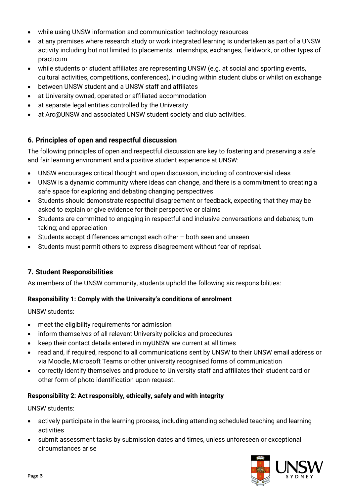- while using UNSW information and communication technology resources
- at any premises where research study or work integrated learning is undertaken as part of a UNSW activity including but not limited to placements, internships, exchanges, fieldwork, or other types of practicum
- while students or student affiliates are representing UNSW (e.g. at social and sporting events, cultural activities, competitions, conferences), including within student clubs or whilst on exchange
- between UNSW student and a UNSW staff and affiliates
- at University owned, operated or affiliated accommodation
- at separate legal entities controlled by the University
- at Arc@UNSW and associated UNSW student society and club activities.

## **6. Principles of open and respectful discussion**

The following principles of open and respectful discussion are key to fostering and preserving a safe and fair learning environment and a positive student experience at UNSW:

- UNSW encourages critical thought and open discussion, including of controversial ideas
- UNSW is a dynamic community where ideas can change, and there is a commitment to creating a safe space for exploring and debating changing perspectives
- Students should demonstrate respectful disagreement or feedback, expecting that they may be asked to explain or give evidence for their perspective or claims
- Students are committed to engaging in respectful and inclusive conversations and debates; turntaking; and appreciation
- Students accept differences amongst each other both seen and unseen
- Students must permit others to express disagreement without fear of reprisal.

# **7. Student Responsibilities**

As members of the UNSW community, students uphold the following six responsibilities:

## **Responsibility 1: Comply with the University's conditions of enrolment**

UNSW students:

- meet the eligibility requirements for admission
- inform themselves of all relevant University policies and procedures
- keep their contact details entered in myUNSW are current at all times
- read and, if required, respond to all communications sent by UNSW to their UNSW email address or via Moodle, Microsoft Teams or other university recognised forms of communication
- correctly identify themselves and produce to University staff and affiliates their student card or other form of photo identification upon request.

## **Responsibility 2: Act responsibly, ethically, safely and with integrity**

UNSW students:

- actively participate in the learning process, including attending scheduled teaching and learning activities
- submit assessment tasks by submission dates and times, unless unforeseen or exceptional circumstances arise

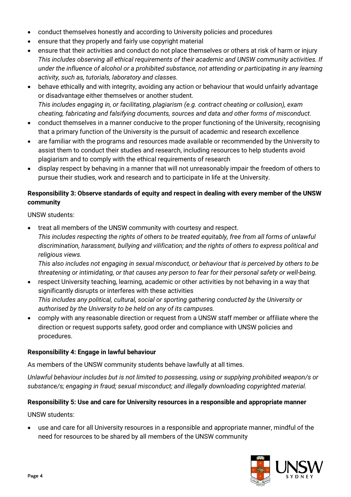- conduct themselves honestly and according to University policies and procedures
- ensure that they properly and fairly use copyright material
- ensure that their activities and conduct do not place themselves or others at risk of harm or injury *This includes observing all ethical requirements of their academic and UNSW community activities. If under the influence of alcohol or a prohibited substance, not attending or participating in any learning activity, such as, tutorials, laboratory and classes.*
- behave ethically and with integrity, avoiding any action or behaviour that would unfairly advantage or disadvantage either themselves or another student. *This includes engaging in, or facilitating, plagiarism (e.g. contract cheating or collusion), exam cheating, fabricating and falsifying documents, sources and data and other forms of misconduct.*
- conduct themselves in a manner conducive to the proper functioning of the University, recognising that a primary function of the University is the pursuit of academic and research excellence
- are familiar with the programs and resources made available or recommended by the University to assist them to conduct their studies and research, including resources to help students avoid plagiarism and to comply with the ethical requirements of research
- display respect by behaving in a manner that will not unreasonably impair the freedom of others to pursue their studies, work and research and to participate in life at the University.

# **Responsibility 3: Observe standards of equity and respect in dealing with every member of the UNSW community**

UNSW students:

• treat all members of the UNSW community with courtesy and respect. *This includes respecting the rights of others to be treated equitably, free from all forms of unlawful discrimination, harassment, bullying and vilification; and the rights of others to express political and religious views.*

*This also includes not engaging in sexual misconduct, or behaviour that is perceived by others to be threatening or intimidating, or that causes any person to fear for their personal safety or well-being.*

- respect University teaching, learning, academic or other activities by not behaving in a way that significantly disrupts or interferes with these activities *This includes any political, cultural, social or sporting gathering conducted by the University or authorised by the University to be held on any of its campuses.*
- comply with any reasonable direction or request from a UNSW staff member or affiliate where the direction or request supports safety, good order and compliance with UNSW policies and procedures.

# **Responsibility 4: Engage in lawful behaviour**

As members of the UNSW community students behave lawfully at all times.

*Unlawful behaviour includes but is not limited to possessing, using or supplying prohibited weapon/s or substance/s; engaging in fraud; sexual misconduct; and illegally downloading copyrighted material.* 

# **Responsibility 5: Use and care for University resources in a responsible and appropriate manner**

UNSW students:

• use and care for all University resources in a responsible and appropriate manner, mindful of the need for resources to be shared by all members of the UNSW community

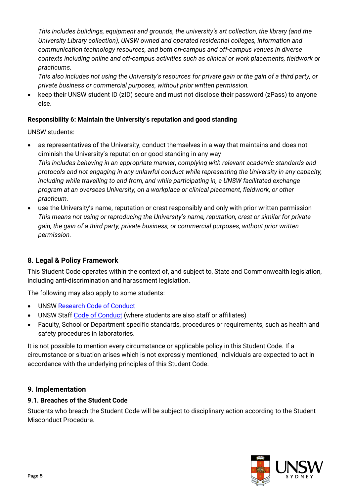*This includes buildings, equipment and grounds, the university's art collection, the library (and the University Library collection), UNSW owned and operated residential colleges, information and communication technology resources, and both on-campus and off-campus venues in diverse contexts including online and off-campus activities such as clinical or work placements, fieldwork or practicums.*

*This also includes not using the University's resources for private gain or the gain of a third party, or private business or commercial purposes, without prior written permission.*

• keep their UNSW student ID (zID) secure and must not disclose their password (zPass) to anyone else.

## **Responsibility 6: Maintain the University's reputation and good standing**

UNSW students:

- as representatives of the University, conduct themselves in a way that maintains and does not diminish the University's reputation or good standing in any way *This includes behaving in an appropriate manner, complying with relevant academic standards and protocols and not engaging in any unlawful conduct while representing the University in any capacity, including while travelling to and from, and while participating in, a UNSW facilitated exchange program at an overseas University, on a workplace or clinical placement, fieldwork, or other practicum.*
- use the University's name, reputation or crest responsibly and only with prior written permission *This means not using or reproducing the University's name, reputation, crest or similar for private gain, the gain of a third party, private business, or commercial purposes, without prior written permission.*

# **8. Legal & Policy Framework**

This Student Code operates within the context of, and subject to, State and Commonwealth legislation, including anti-discrimination and harassment legislation.

The following may also apply to some students:

- UNS[W Research Code of Conduct](https://www.gs.unsw.edu.au/policy/researchcode.html)
- UNSW Staff [Code of Conduct](https://www.gs.unsw.edu.au/policy/codeofconduct.html) (where students are also staff or affiliates)
- Faculty, School or Department specific standards, procedures or requirements, such as health and safety procedures in laboratories.

It is not possible to mention every circumstance or applicable policy in this Student Code. If a circumstance or situation arises which is not expressly mentioned, individuals are expected to act in accordance with the underlying principles of this Student Code.

# **9. Implementation**

## **9.1. Breaches of the Student Code**

Students who breach the Student Code will be subject to disciplinary action according to the Student Misconduct Procedure.

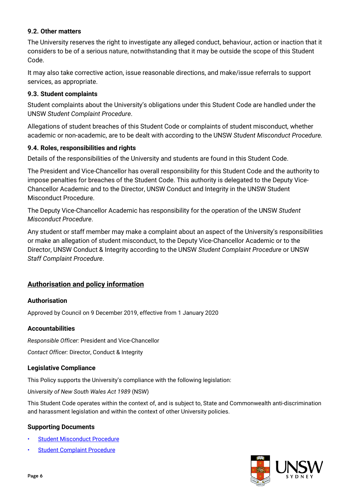## **9.2. Other matters**

The University reserves the right to investigate any alleged conduct, behaviour, action or inaction that it considers to be of a serious nature, notwithstanding that it may be outside the scope of this Student Code.

It may also take corrective action, issue reasonable directions, and make/issue referrals to support services, as appropriate.

## **9.3. Student complaints**

Student complaints about the University's obligations under this Student Code are handled under the UNSW *Student Complaint Procedure*.

Allegations of student breaches of this Student Code or complaints of student misconduct, whether academic or non-academic, are to be dealt with according to the UNSW *Student Misconduct Procedure.*

## **9.4. Roles, responsibilities and rights**

Details of the responsibilities of the University and students are found in this Student Code.

The President and Vice-Chancellor has overall responsibility for this Student Code and the authority to impose penalties for breaches of the Student Code. This authority is delegated to the Deputy Vice-Chancellor Academic and to the Director, UNSW Conduct and Integrity in the UNSW Student Misconduct Procedure.

The Deputy Vice-Chancellor Academic has responsibility for the operation of the UNSW *Student Misconduct Procedure*.

Any student or staff member may make a complaint about an aspect of the University's responsibilities or make an allegation of student misconduct, to the Deputy Vice-Chancellor Academic or to the Director, UNSW Conduct & Integrity according to the UNSW *Student Complaint Procedure* or UNSW *Staff Complaint Procedure*.

## **Authorisation and policy information**

#### **Authorisation**

Approved by Council on 9 December 2019, effective from 1 January 2020

#### **Accountabilities**

*Responsible Officer:* President and Vice-Chancellor

*Contact Officer:* Director, Conduct & Integrity

#### **Legislative Compliance**

This Policy supports the University's compliance with the following legislation:

*University of New South Wales Act 1989* (NSW)

This Student Code operates within the context of, and is subject to, State and Commonwealth anti-discrimination and harassment legislation and within the context of other University policies.

#### **Supporting Documents**

- [Student Misconduct Procedure](https://www.gs.unsw.edu.au/policy/studentmisconductprocedures.html)
- [Student Complaint Procedure](https://www.gs.unsw.edu.au/policy/studentcomplaintproc.html)

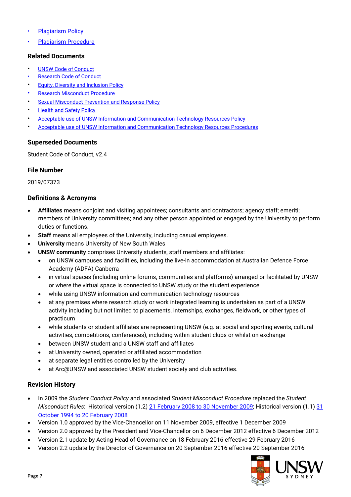- [Plagiarism Policy](https://www.gs.unsw.edu.au/policy/plagiarismpolicy.html)
- [Plagiarism Procedure](https://www.gs.unsw.edu.au/policy/plagiarismprocedure.html)

#### **Related Documents**

- [UNSW Code of Conduct](https://www.gs.unsw.edu.au/policy/codeofconduct.html)
- [Research Code of Conduct](https://www.gs.unsw.edu.au/policy/researchcode.html)
- [Equity, Diversity and Inclusion Policy](https://www.gs.unsw.edu.au/policy/equitystatement.html)
- **[Research Misconduct Procedure](https://www.gs.unsw.edu.au/policy/researchmisconductproc.html)**
- [Sexual Misconduct Prevention and Response Policy](https://www.gs.unsw.edu.au/policy/sexualmisconductpreventionandresponsepolicy.html)
- **[Health and Safety Policy](https://www.gs.unsw.edu.au/policy/ohspolicy.html)**
- [Acceptable use of UNSW Information and Communication Technology Resources Policy](https://www.gs.unsw.edu.au/policy/ictpolicy.html)
- [Acceptable use of UNSW Information and Communication Technology Resources Procedures](https://www.gs.unsw.edu.au/policy/ictprocedure.html)

#### **Superseded Documents**

Student Code of Conduct, v2.4

## **File Number**

2019/07373

#### **Definitions & Acronyms**

- **Affiliates** means conjoint and visiting appointees; consultants and contractors; agency staff; emeriti; members of University committees; and any other person appointed or engaged by the University to perform duties or functions.
- **Staff** means all employees of the University, including casual employees.
- **University** means University of New South Wales
- **UNSW community** comprises University students, staff members and affiliates:
	- on UNSW campuses and facilities, including the live-in accommodation at Australian Defence Force Academy (ADFA) Canberra
	- in virtual spaces (including online forums, communities and platforms) arranged or facilitated by UNSW or where the virtual space is connected to UNSW study or the student experience
	- while using UNSW information and communication technology resources
	- at any premises where research study or work integrated learning is undertaken as part of a UNSW activity including but not limited to placements, internships, exchanges, fieldwork, or other types of practicum
	- while students or student affiliates are representing UNSW (e.g. at social and sporting events, cultural activities, competitions, conferences), including within student clubs or whilst on exchange
	- between UNSW student and a UNSW staff and affiliates
	- at University owned, operated or affiliated accommodation
	- at separate legal entities controlled by the University
	- at Arc@UNSW and associated UNSW student society and club activities.

## **Revision History**

- In 2009 the *Student Conduct Policy* and associated *Student Misconduct Procedure* replaced the *Student Misconduct Rules*: Historical version (1.2) [21 February 2008 to 30 November 2009;](https://www.gs.unsw.edu.au/policy/archives/misconductrules1.2.pdf) Historical version (1.1) 31 [October 1994 to 20 February 2008](https://www.gs.unsw.edu.au/policy/archives/misconductrules1.1.pdf)
- Version 1.0 approved by the Vice-Chancellor on 11 November 2009, effective 1 December 2009
- Version 2.0 approved by the President and Vice-Chancellor on 6 December 2012 effective 6 December 2012
- Version 2.1 update by Acting Head of Governance on 18 February 2016 effective 29 February 2016
- Version 2.2 update by the Director of Governance on 20 September 2016 effective 20 September 2016